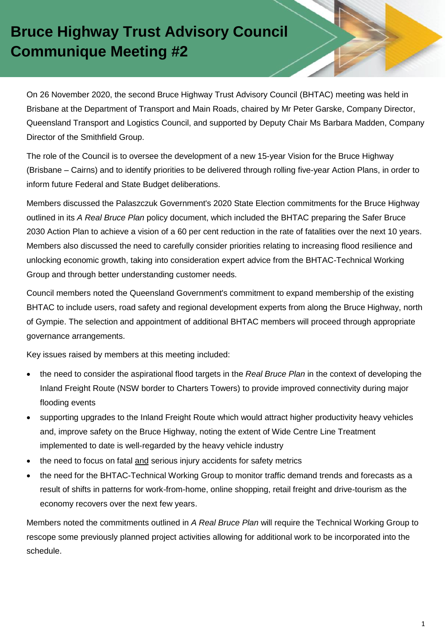## **Bruce Highway Trust Advisory Council Communique Meeting #2**

On 26 November 2020, the second Bruce Highway Trust Advisory Council (BHTAC) meeting was held in Brisbane at the Department of Transport and Main Roads, chaired by Mr Peter Garske, Company Director, Queensland Transport and Logistics Council, and supported by Deputy Chair Ms Barbara Madden, Company Director of the Smithfield Group.

The role of the Council is to oversee the development of a new 15-year Vision for the Bruce Highway (Brisbane – Cairns) and to identify priorities to be delivered through rolling five-year Action Plans, in order to inform future Federal and State Budget deliberations.

Members discussed the Palaszczuk Government's 2020 State Election commitments for the Bruce Highway outlined in its *A Real Bruce Plan* policy document, which included the BHTAC preparing the Safer Bruce 2030 Action Plan to achieve a vision of a 60 per cent reduction in the rate of fatalities over the next 10 years. Members also discussed the need to carefully consider priorities relating to increasing flood resilience and unlocking economic growth, taking into consideration expert advice from the BHTAC-Technical Working Group and through better understanding customer needs.

Council members noted the Queensland Government's commitment to expand membership of the existing BHTAC to include users, road safety and regional development experts from along the Bruce Highway, north of Gympie. The selection and appointment of additional BHTAC members will proceed through appropriate governance arrangements.

Key issues raised by members at this meeting included:

- the need to consider the aspirational flood targets in the *Real Bruce Plan* in the context of developing the Inland Freight Route (NSW border to Charters Towers) to provide improved connectivity during major flooding events
- supporting upgrades to the Inland Freight Route which would attract higher productivity heavy vehicles and, improve safety on the Bruce Highway, noting the extent of Wide Centre Line Treatment implemented to date is well-regarded by the heavy vehicle industry
- the need to focus on fatal and serious injury accidents for safety metrics
- the need for the BHTAC-Technical Working Group to monitor traffic demand trends and forecasts as a result of shifts in patterns for work-from-home, online shopping, retail freight and drive-tourism as the economy recovers over the next few years.

Members noted the commitments outlined in *A Real Bruce Plan* will require the Technical Working Group to rescope some previously planned project activities allowing for additional work to be incorporated into the schedule.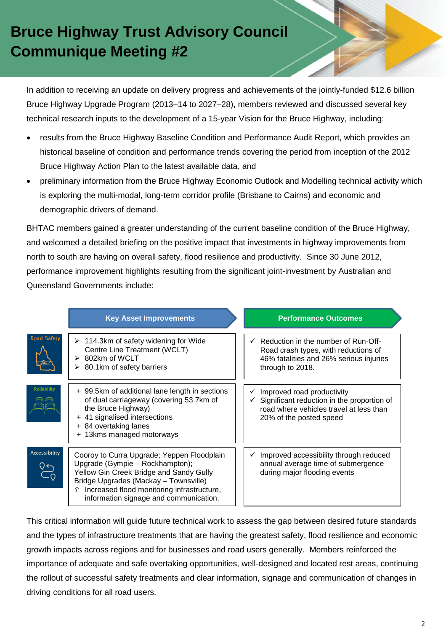## **Bruce Highway Trust Advisory Council Communique Meeting #2**

In addition to receiving an update on delivery progress and achievements of the jointly-funded \$12.6 billion Bruce Highway Upgrade Program (2013–14 to 2027–28), members reviewed and discussed several key technical research inputs to the development of a 15-year Vision for the Bruce Highway, including:

- results from the Bruce Highway Baseline Condition and Performance Audit Report, which provides an historical baseline of condition and performance trends covering the period from inception of the 2012 Bruce Highway Action Plan to the latest available data, and
- preliminary information from the Bruce Highway Economic Outlook and Modelling technical activity which is exploring the multi-modal, long-term corridor profile (Brisbane to Cairns) and economic and demographic drivers of demand.

BHTAC members gained a greater understanding of the current baseline condition of the Bruce Highway, and welcomed a detailed briefing on the positive impact that investments in highway improvements from north to south are having on overall safety, flood resilience and productivity. Since 30 June 2012, performance improvement highlights resulting from the significant joint-investment by Australian and Queensland Governments include:

|                      | <b>Key Asset Improvements</b>                                                                                                                                                                                                                                  | <b>Performance Outcomes</b>                                                                                                                    |
|----------------------|----------------------------------------------------------------------------------------------------------------------------------------------------------------------------------------------------------------------------------------------------------------|------------------------------------------------------------------------------------------------------------------------------------------------|
| <b>Road Safety</b>   | $\triangleright$ 114.3km of safety widening for Wide<br>Centre Line Treatment (WCLT)<br>802km of WCLT<br>➤<br>80.1km of safety barriers<br>➤                                                                                                                   | Reduction in the number of Run-Off-<br>Road crash types, with reductions of<br>46% fatalities and 26% serious injuries<br>through to 2018.     |
| <b>Reliability</b>   | + 99.5km of additional lane length in sections<br>of dual carriageway (covering 53.7km of<br>the Bruce Highway)<br>+ 41 signalised intersections<br>+ 84 overtaking lanes<br>+ 13kms managed motorways                                                         | Improved road productivity<br>Significant reduction in the proportion of<br>road where vehicles travel at less than<br>20% of the posted speed |
| <b>Accessibility</b> | Cooroy to Curra Upgrade; Yeppen Floodplain<br>Upgrade (Gympie - Rockhampton);<br>Yellow Gin Creek Bridge and Sandy Gully<br>Bridge Upgrades (Mackay - Townsville)<br>Increased flood monitoring infrastructure,<br>⇑<br>information signage and communication. | Improved accessibility through reduced<br>annual average time of submergence<br>during major flooding events                                   |

This critical information will guide future technical work to assess the gap between desired future standards and the types of infrastructure treatments that are having the greatest safety, flood resilience and economic growth impacts across regions and for businesses and road users generally. Members reinforced the importance of adequate and safe overtaking opportunities, well-designed and located rest areas, continuing the rollout of successful safety treatments and clear information, signage and communication of changes in driving conditions for all road users.